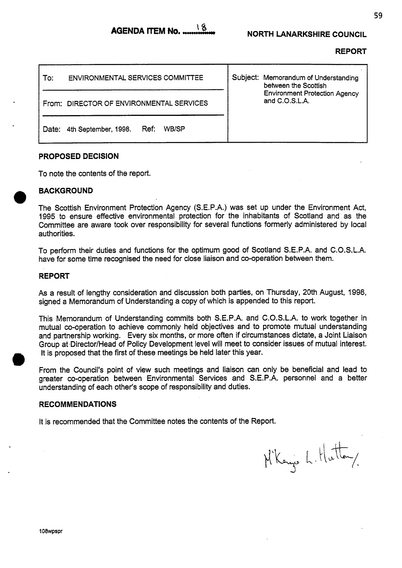**REPORT** 

| <b>ENVIRONMENTAL SERVICES COMMITTEE</b><br>To: | Subject: Memorandum of Understanding<br>between the Scottish |
|------------------------------------------------|--------------------------------------------------------------|
| From: DIRECTOR OF ENVIRONMENTAL SERVICES       | <b>Environment Protection Agency</b><br>and C.O.S.L.A.       |
| WB/SP<br>Ref:<br>4th September, 1998.<br>Date: |                                                              |

## **PROPOSED DECISION**

To note the contents of the report.

## **BACKGROUND**

The Scottish Environment Protection Agency (S.E.P.A.) was set up under the Environment Act, 1995 to ensure effective environmental protection for the inhabitants of Scotland and as the Committee are aware took over responsibility for several functions formerly administered by local authorities.

To perform their duties and functions for the optimum good of Scotland S.E.P.A. and C.O.S.L.A. have for some time recognised the need for close liaison and co-operation between them.

## **REPORT**

As a result of lengthy consideration and discussion both parties, on Thursday, 20th August, 1998, signed a Memorandum of Understanding a copy of which is appended to this report.

This Memorandum of Understanding commits both S.E.P.A. and C.O.S.L.A. to work together in mutual co-operation to achieve commonly held objectives and to promote mutual understanding and partnership working. Every six months, or more often if circumstances dictate, a Joint Liaison Group at Director/Head of Policy Development level will meet to consider issues of mutual interest. It is proposed that the first of these meetings be held later this year.

From the Council's point of view such meetings and liaison can only be beneficial and lead to greater co-operation between Environmental Services and S.E.P.A. personnel and a better understanding of each other's scope of responsibility and duties.

## **RECOMMENDATIONS**

It is recommended that the Committee notes the contents of the Report.

M'Kanjo L. Hutton